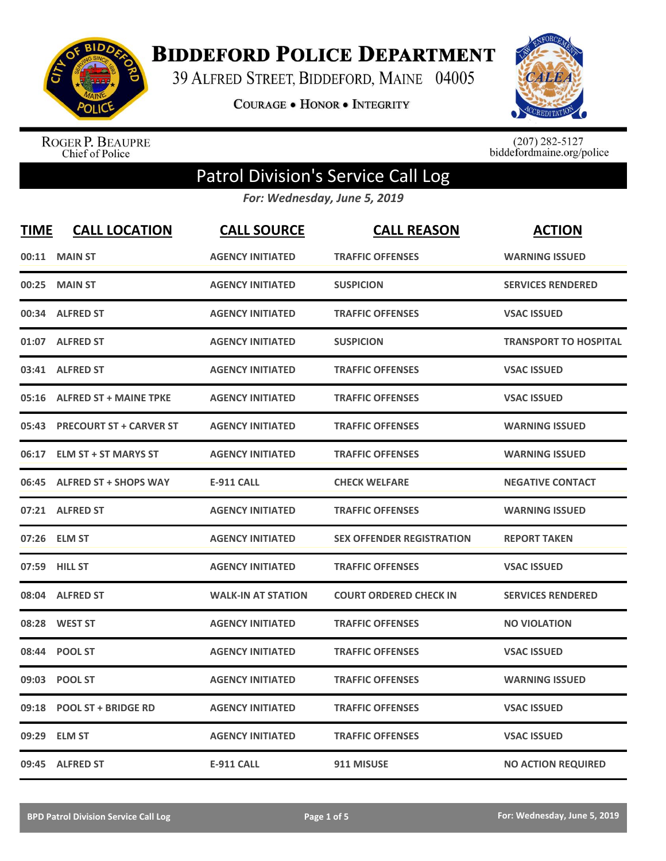

**BIDDEFORD POLICE DEPARTMENT** 

39 ALFRED STREET, BIDDEFORD, MAINE 04005

**COURAGE . HONOR . INTEGRITY** 



ROGER P. BEAUPRE<br>Chief of Police

 $(207)$  282-5127<br>biddefordmaine.org/police

## Patrol Division's Service Call Log

*For: Wednesday, June 5, 2019*

| <b>TIME</b> | <b>CALL LOCATION</b>           | <b>CALL SOURCE</b>        | <b>CALL REASON</b>               | <b>ACTION</b>                |
|-------------|--------------------------------|---------------------------|----------------------------------|------------------------------|
| 00:11       | <b>MAIN ST</b>                 | <b>AGENCY INITIATED</b>   | <b>TRAFFIC OFFENSES</b>          | <b>WARNING ISSUED</b>        |
| 00:25       | <b>MAIN ST</b>                 | <b>AGENCY INITIATED</b>   | <b>SUSPICION</b>                 | <b>SERVICES RENDERED</b>     |
| 00:34       | <b>ALFRED ST</b>               | <b>AGENCY INITIATED</b>   | <b>TRAFFIC OFFENSES</b>          | <b>VSAC ISSUED</b>           |
|             | 01:07 ALFRED ST                | <b>AGENCY INITIATED</b>   | <b>SUSPICION</b>                 | <b>TRANSPORT TO HOSPITAL</b> |
|             | 03:41 ALFRED ST                | <b>AGENCY INITIATED</b>   | <b>TRAFFIC OFFENSES</b>          | <b>VSAC ISSUED</b>           |
| 05:16       | <b>ALFRED ST + MAINE TPKE</b>  | <b>AGENCY INITIATED</b>   | <b>TRAFFIC OFFENSES</b>          | <b>VSAC ISSUED</b>           |
| 05:43       | <b>PRECOURT ST + CARVER ST</b> | <b>AGENCY INITIATED</b>   | <b>TRAFFIC OFFENSES</b>          | <b>WARNING ISSUED</b>        |
| 06:17       | <b>ELM ST + ST MARYS ST</b>    | <b>AGENCY INITIATED</b>   | <b>TRAFFIC OFFENSES</b>          | <b>WARNING ISSUED</b>        |
| 06:45       | <b>ALFRED ST + SHOPS WAY</b>   | <b>E-911 CALL</b>         | <b>CHECK WELFARE</b>             | <b>NEGATIVE CONTACT</b>      |
|             | 07:21 ALFRED ST                | <b>AGENCY INITIATED</b>   | <b>TRAFFIC OFFENSES</b>          | <b>WARNING ISSUED</b>        |
|             | 07:26 ELM ST                   | <b>AGENCY INITIATED</b>   | <b>SEX OFFENDER REGISTRATION</b> | <b>REPORT TAKEN</b>          |
|             | 07:59 HILL ST                  | <b>AGENCY INITIATED</b>   | <b>TRAFFIC OFFENSES</b>          | <b>VSAC ISSUED</b>           |
| 08:04       | <b>ALFRED ST</b>               | <b>WALK-IN AT STATION</b> | <b>COURT ORDERED CHECK IN</b>    | <b>SERVICES RENDERED</b>     |
| 08:28       | <b>WEST ST</b>                 | <b>AGENCY INITIATED</b>   | <b>TRAFFIC OFFENSES</b>          | <b>NO VIOLATION</b>          |
| 08:44       | <b>POOL ST</b>                 | <b>AGENCY INITIATED</b>   | <b>TRAFFIC OFFENSES</b>          | <b>VSAC ISSUED</b>           |
| 09:03       | <b>POOL ST</b>                 | <b>AGENCY INITIATED</b>   | <b>TRAFFIC OFFENSES</b>          | <b>WARNING ISSUED</b>        |
| 09:18       | <b>POOL ST + BRIDGE RD</b>     | <b>AGENCY INITIATED</b>   | <b>TRAFFIC OFFENSES</b>          | <b>VSAC ISSUED</b>           |
| 09:29       | <b>ELM ST</b>                  | <b>AGENCY INITIATED</b>   | <b>TRAFFIC OFFENSES</b>          | <b>VSAC ISSUED</b>           |
|             | 09:45 ALFRED ST                | <b>E-911 CALL</b>         | 911 MISUSE                       | <b>NO ACTION REQUIRED</b>    |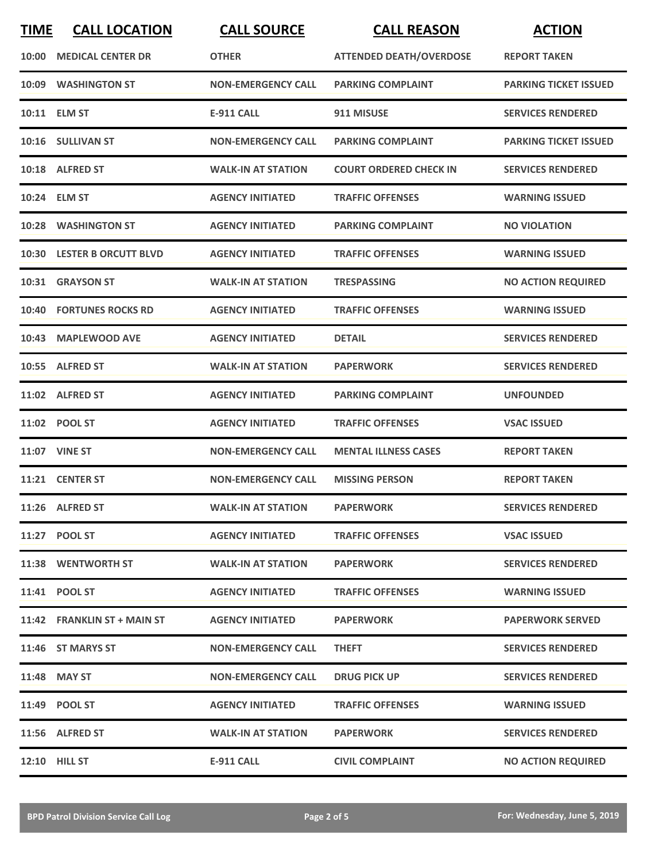| <b>TIME</b> | <b>CALL LOCATION</b>        | <b>CALL SOURCE</b>        | <b>CALL REASON</b>             | <b>ACTION</b>                |
|-------------|-----------------------------|---------------------------|--------------------------------|------------------------------|
| 10:00       | <b>MEDICAL CENTER DR</b>    | <b>OTHER</b>              | <b>ATTENDED DEATH/OVERDOSE</b> | <b>REPORT TAKEN</b>          |
|             | 10:09 WASHINGTON ST         | <b>NON-EMERGENCY CALL</b> | <b>PARKING COMPLAINT</b>       | <b>PARKING TICKET ISSUED</b> |
|             | 10:11 ELM ST                | <b>E-911 CALL</b>         | 911 MISUSE                     | <b>SERVICES RENDERED</b>     |
|             | 10:16 SULLIVAN ST           | <b>NON-EMERGENCY CALL</b> | <b>PARKING COMPLAINT</b>       | <b>PARKING TICKET ISSUED</b> |
|             | 10:18 ALFRED ST             | <b>WALK-IN AT STATION</b> | <b>COURT ORDERED CHECK IN</b>  | <b>SERVICES RENDERED</b>     |
|             | 10:24 ELM ST                | <b>AGENCY INITIATED</b>   | <b>TRAFFIC OFFENSES</b>        | <b>WARNING ISSUED</b>        |
|             | 10:28 WASHINGTON ST         | <b>AGENCY INITIATED</b>   | <b>PARKING COMPLAINT</b>       | <b>NO VIOLATION</b>          |
| 10:30       | <b>LESTER B ORCUTT BLVD</b> | <b>AGENCY INITIATED</b>   | <b>TRAFFIC OFFENSES</b>        | <b>WARNING ISSUED</b>        |
|             | 10:31 GRAYSON ST            | <b>WALK-IN AT STATION</b> | <b>TRESPASSING</b>             | <b>NO ACTION REQUIRED</b>    |
|             | 10:40 FORTUNES ROCKS RD     | <b>AGENCY INITIATED</b>   | <b>TRAFFIC OFFENSES</b>        | <b>WARNING ISSUED</b>        |
|             | 10:43 MAPLEWOOD AVE         | <b>AGENCY INITIATED</b>   | <b>DETAIL</b>                  | <b>SERVICES RENDERED</b>     |
|             | 10:55 ALFRED ST             | <b>WALK-IN AT STATION</b> | <b>PAPERWORK</b>               | <b>SERVICES RENDERED</b>     |
|             | 11:02 ALFRED ST             | <b>AGENCY INITIATED</b>   | <b>PARKING COMPLAINT</b>       | <b>UNFOUNDED</b>             |
|             | 11:02 POOL ST               | <b>AGENCY INITIATED</b>   | <b>TRAFFIC OFFENSES</b>        | <b>VSAC ISSUED</b>           |
|             | <b>11:07 VINE ST</b>        | <b>NON-EMERGENCY CALL</b> | <b>MENTAL ILLNESS CASES</b>    | <b>REPORT TAKEN</b>          |
|             | 11:21 CENTER ST             | <b>NON-EMERGENCY CALL</b> | <b>MISSING PERSON</b>          | <b>REPORT TAKEN</b>          |
|             | 11:26 ALFRED ST             | <b>WALK-IN AT STATION</b> | <b>PAPERWORK</b>               | <b>SERVICES RENDERED</b>     |
|             | 11:27 POOL ST               | <b>AGENCY INITIATED</b>   | <b>TRAFFIC OFFENSES</b>        | <b>VSAC ISSUED</b>           |
|             | 11:38 WENTWORTH ST          | <b>WALK-IN AT STATION</b> | <b>PAPERWORK</b>               | <b>SERVICES RENDERED</b>     |
|             | 11:41 POOL ST               | <b>AGENCY INITIATED</b>   | <b>TRAFFIC OFFENSES</b>        | <b>WARNING ISSUED</b>        |
|             | 11:42 FRANKLIN ST + MAIN ST | <b>AGENCY INITIATED</b>   | <b>PAPERWORK</b>               | <b>PAPERWORK SERVED</b>      |
|             | 11:46 ST MARYS ST           | <b>NON-EMERGENCY CALL</b> | <b>THEFT</b>                   | <b>SERVICES RENDERED</b>     |
|             | 11:48 MAY ST                | <b>NON-EMERGENCY CALL</b> | <b>DRUG PICK UP</b>            | <b>SERVICES RENDERED</b>     |
|             | 11:49 POOL ST               | <b>AGENCY INITIATED</b>   | <b>TRAFFIC OFFENSES</b>        | <b>WARNING ISSUED</b>        |
|             | 11:56 ALFRED ST             | <b>WALK-IN AT STATION</b> | <b>PAPERWORK</b>               | <b>SERVICES RENDERED</b>     |
|             | <b>12:10 HILL ST</b>        | <b>E-911 CALL</b>         | <b>CIVIL COMPLAINT</b>         | <b>NO ACTION REQUIRED</b>    |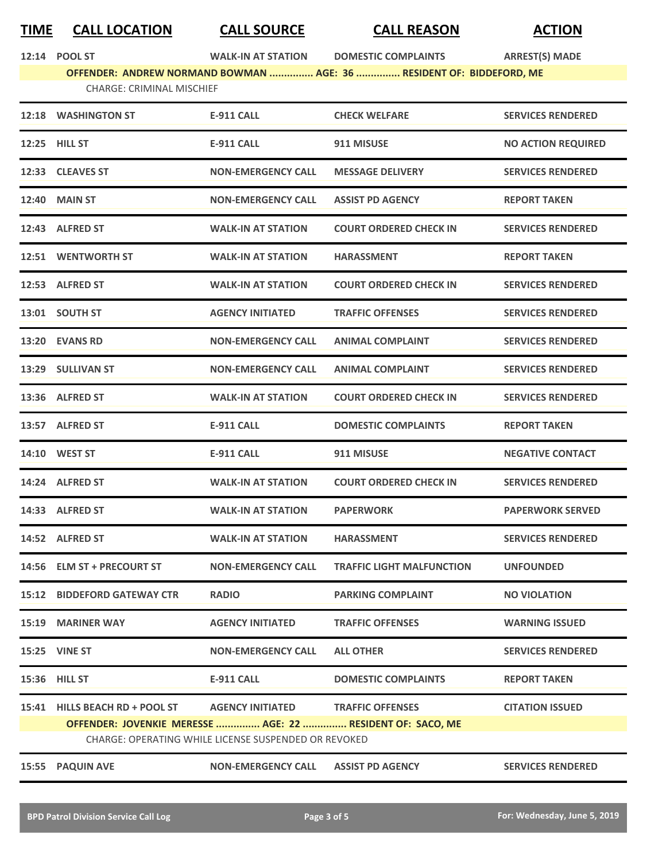## **TIME CALL LOCATION CALL SOURCE CALL REASON ACTION**

**12:14 POOL ST WALK-IN AT STATION DOMESTIC COMPLAINTS ARREST(S) MADE**

**OFFENDER: ANDREW NORMAND BOWMAN ............... AGE: 36 ............... RESIDENT OF: BIDDEFORD, ME** CHARGE: CRIMINAL MISCHIEF

|       | 12:18 WASHINGTON ST                                                                                                | <b>E-911 CALL</b>         | <b>CHECK WELFARE</b>             | <b>SERVICES RENDERED</b>  |  |
|-------|--------------------------------------------------------------------------------------------------------------------|---------------------------|----------------------------------|---------------------------|--|
|       | 12:25 HILL ST                                                                                                      | E-911 CALL                | 911 MISUSE                       | <b>NO ACTION REQUIRED</b> |  |
|       | 12:33 CLEAVES ST                                                                                                   | <b>NON-EMERGENCY CALL</b> | <b>MESSAGE DELIVERY</b>          | <b>SERVICES RENDERED</b>  |  |
|       | <b>12:40 MAIN ST</b>                                                                                               | <b>NON-EMERGENCY CALL</b> | <b>ASSIST PD AGENCY</b>          | <b>REPORT TAKEN</b>       |  |
|       | 12:43 ALFRED ST                                                                                                    | <b>WALK-IN AT STATION</b> | <b>COURT ORDERED CHECK IN</b>    | <b>SERVICES RENDERED</b>  |  |
|       | 12:51 WENTWORTH ST                                                                                                 | <b>WALK-IN AT STATION</b> | <b>HARASSMENT</b>                | <b>REPORT TAKEN</b>       |  |
|       | 12:53 ALFRED ST                                                                                                    | <b>WALK-IN AT STATION</b> | <b>COURT ORDERED CHECK IN</b>    | <b>SERVICES RENDERED</b>  |  |
|       | 13:01 SOUTH ST                                                                                                     | <b>AGENCY INITIATED</b>   | <b>TRAFFIC OFFENSES</b>          | <b>SERVICES RENDERED</b>  |  |
|       | 13:20 EVANS RD                                                                                                     | <b>NON-EMERGENCY CALL</b> | <b>ANIMAL COMPLAINT</b>          | <b>SERVICES RENDERED</b>  |  |
|       | 13:29 SULLIVAN ST                                                                                                  | <b>NON-EMERGENCY CALL</b> | <b>ANIMAL COMPLAINT</b>          | <b>SERVICES RENDERED</b>  |  |
|       | 13:36 ALFRED ST                                                                                                    | <b>WALK-IN AT STATION</b> | <b>COURT ORDERED CHECK IN</b>    | <b>SERVICES RENDERED</b>  |  |
|       | 13:57 ALFRED ST                                                                                                    | <b>E-911 CALL</b>         | <b>DOMESTIC COMPLAINTS</b>       | <b>REPORT TAKEN</b>       |  |
|       | <b>14:10 WEST ST</b>                                                                                               | <b>E-911 CALL</b>         | 911 MISUSE                       | <b>NEGATIVE CONTACT</b>   |  |
|       | 14:24 ALFRED ST                                                                                                    | <b>WALK-IN AT STATION</b> | <b>COURT ORDERED CHECK IN</b>    | <b>SERVICES RENDERED</b>  |  |
|       | 14:33 ALFRED ST                                                                                                    | <b>WALK-IN AT STATION</b> | <b>PAPERWORK</b>                 | <b>PAPERWORK SERVED</b>   |  |
|       | 14:52 ALFRED ST                                                                                                    | <b>WALK-IN AT STATION</b> | <b>HARASSMENT</b>                | <b>SERVICES RENDERED</b>  |  |
|       | 14:56 ELM ST + PRECOURT ST                                                                                         | <b>NON-EMERGENCY CALL</b> | <b>TRAFFIC LIGHT MALFUNCTION</b> | <b>UNFOUNDED</b>          |  |
|       | <b>15:12 BIDDEFORD GATEWAY CTR</b>                                                                                 | <b>RADIO</b>              | <b>PARKING COMPLAINT</b>         | <b>NO VIOLATION</b>       |  |
|       | 15:19 MARINER WAY                                                                                                  | <b>AGENCY INITIATED</b>   | <b>TRAFFIC OFFENSES</b>          | <b>WARNING ISSUED</b>     |  |
|       | 15:25 VINE ST                                                                                                      | <b>NON-EMERGENCY CALL</b> | <b>ALL OTHER</b>                 | <b>SERVICES RENDERED</b>  |  |
|       | 15:36 HILL ST                                                                                                      | <b>E-911 CALL</b>         | <b>DOMESTIC COMPLAINTS</b>       | <b>REPORT TAKEN</b>       |  |
|       | 15:41 HILLS BEACH RD + POOL ST                                                                                     | <b>AGENCY INITIATED</b>   | <b>TRAFFIC OFFENSES</b>          | <b>CITATION ISSUED</b>    |  |
|       | OFFENDER: JOVENKIE MERESSE  AGE: 22  RESIDENT OF: SACO, ME<br>CHARGE: OPERATING WHILE LICENSE SUSPENDED OR REVOKED |                           |                                  |                           |  |
| 15:55 | <b>PAQUIN AVE</b>                                                                                                  | <b>NON-EMERGENCY CALL</b> | <b>ASSIST PD AGENCY</b>          | <b>SERVICES RENDERED</b>  |  |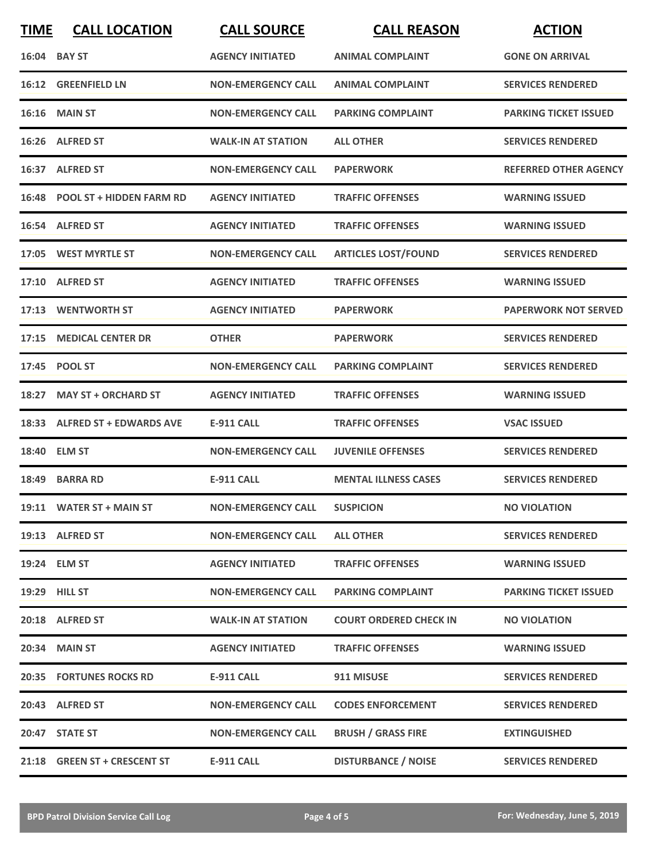| <b>TIME</b> | <b>CALL LOCATION</b>           | <b>CALL SOURCE</b>        | <b>CALL REASON</b>            | <b>ACTION</b>                |
|-------------|--------------------------------|---------------------------|-------------------------------|------------------------------|
|             | 16:04 BAY ST                   | <b>AGENCY INITIATED</b>   | <b>ANIMAL COMPLAINT</b>       | <b>GONE ON ARRIVAL</b>       |
| 16:12       | <b>GREENFIELD LN</b>           | <b>NON-EMERGENCY CALL</b> | <b>ANIMAL COMPLAINT</b>       | <b>SERVICES RENDERED</b>     |
|             | <b>16:16 MAIN ST</b>           | <b>NON-EMERGENCY CALL</b> | <b>PARKING COMPLAINT</b>      | <b>PARKING TICKET ISSUED</b> |
|             | 16:26 ALFRED ST                | <b>WALK-IN AT STATION</b> | <b>ALL OTHER</b>              | <b>SERVICES RENDERED</b>     |
|             | 16:37 ALFRED ST                | <b>NON-EMERGENCY CALL</b> | <b>PAPERWORK</b>              | <b>REFERRED OTHER AGENCY</b> |
|             | 16:48 POOL ST + HIDDEN FARM RD | <b>AGENCY INITIATED</b>   | <b>TRAFFIC OFFENSES</b>       | <b>WARNING ISSUED</b>        |
|             | 16:54 ALFRED ST                | <b>AGENCY INITIATED</b>   | <b>TRAFFIC OFFENSES</b>       | <b>WARNING ISSUED</b>        |
|             | 17:05 WEST MYRTLE ST           | <b>NON-EMERGENCY CALL</b> | <b>ARTICLES LOST/FOUND</b>    | <b>SERVICES RENDERED</b>     |
|             | 17:10 ALFRED ST                | <b>AGENCY INITIATED</b>   | <b>TRAFFIC OFFENSES</b>       | <b>WARNING ISSUED</b>        |
|             | 17:13 WENTWORTH ST             | <b>AGENCY INITIATED</b>   | <b>PAPERWORK</b>              | <b>PAPERWORK NOT SERVED</b>  |
| 17:15       | <b>MEDICAL CENTER DR</b>       | <b>OTHER</b>              | <b>PAPERWORK</b>              | <b>SERVICES RENDERED</b>     |
|             | 17:45 POOL ST                  | <b>NON-EMERGENCY CALL</b> | <b>PARKING COMPLAINT</b>      | <b>SERVICES RENDERED</b>     |
| 18:27       | <b>MAY ST + ORCHARD ST</b>     | <b>AGENCY INITIATED</b>   | <b>TRAFFIC OFFENSES</b>       | <b>WARNING ISSUED</b>        |
|             | 18:33 ALFRED ST + EDWARDS AVE  | <b>E-911 CALL</b>         | <b>TRAFFIC OFFENSES</b>       | <b>VSAC ISSUED</b>           |
|             | 18:40 ELM ST                   | <b>NON-EMERGENCY CALL</b> | <b>JUVENILE OFFENSES</b>      | <b>SERVICES RENDERED</b>     |
|             | 18:49 BARRA RD                 | <b>E-911 CALL</b>         | <b>MENTAL ILLNESS CASES</b>   | <b>SERVICES RENDERED</b>     |
|             | 19:11 WATER ST + MAIN ST       | <b>NON-EMERGENCY CALL</b> | <b>SUSPICION</b>              | <b>NO VIOLATION</b>          |
|             | 19:13 ALFRED ST                | <b>NON-EMERGENCY CALL</b> | <b>ALL OTHER</b>              | <b>SERVICES RENDERED</b>     |
|             | 19:24 ELM ST                   | <b>AGENCY INITIATED</b>   | <b>TRAFFIC OFFENSES</b>       | <b>WARNING ISSUED</b>        |
|             | 19:29 HILL ST                  | <b>NON-EMERGENCY CALL</b> | <b>PARKING COMPLAINT</b>      | <b>PARKING TICKET ISSUED</b> |
|             | 20:18 ALFRED ST                | <b>WALK-IN AT STATION</b> | <b>COURT ORDERED CHECK IN</b> | <b>NO VIOLATION</b>          |
|             | 20:34 MAIN ST                  | <b>AGENCY INITIATED</b>   | <b>TRAFFIC OFFENSES</b>       | <b>WARNING ISSUED</b>        |
|             | <b>20:35 FORTUNES ROCKS RD</b> | E-911 CALL                | 911 MISUSE                    | <b>SERVICES RENDERED</b>     |
|             | 20:43 ALFRED ST                | <b>NON-EMERGENCY CALL</b> | <b>CODES ENFORCEMENT</b>      | <b>SERVICES RENDERED</b>     |
|             | 20:47 STATE ST                 | <b>NON-EMERGENCY CALL</b> | <b>BRUSH / GRASS FIRE</b>     | <b>EXTINGUISHED</b>          |
|             | 21:18 GREEN ST + CRESCENT ST   | <b>E-911 CALL</b>         | <b>DISTURBANCE / NOISE</b>    | <b>SERVICES RENDERED</b>     |